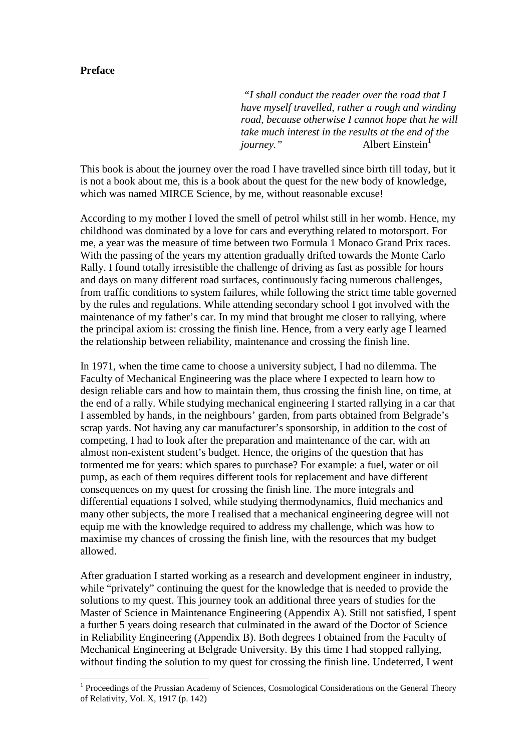## **Preface**

 $\overline{a}$ 

 *"I shall conduct the reader over the road that I have myself travelled, rather a rough and winding road, because otherwise I cannot hope that he will take much interest in the results at the end of the journey.*" Albert Einstein<sup>1</sup>

This book is about the journey over the road I have travelled since birth till today, but it is not a book about me, this is a book about the quest for the new body of knowledge, which was named MIRCE Science, by me, without reasonable excuse!

According to my mother I loved the smell of petrol whilst still in her womb. Hence, my childhood was dominated by a love for cars and everything related to motorsport. For me, a year was the measure of time between two Formula 1 Monaco Grand Prix races. With the passing of the years my attention gradually drifted towards the Monte Carlo Rally. I found totally irresistible the challenge of driving as fast as possible for hours and days on many different road surfaces, continuously facing numerous challenges, from traffic conditions to system failures, while following the strict time table governed by the rules and regulations. While attending secondary school I got involved with the maintenance of my father's car. In my mind that brought me closer to rallying, where the principal axiom is: crossing the finish line. Hence, from a very early age I learned the relationship between reliability, maintenance and crossing the finish line.

In 1971, when the time came to choose a university subject, I had no dilemma. The Faculty of Mechanical Engineering was the place where I expected to learn how to design reliable cars and how to maintain them, thus crossing the finish line, on time, at the end of a rally. While studying mechanical engineering I started rallying in a car that I assembled by hands, in the neighbours' garden, from parts obtained from Belgrade's scrap yards. Not having any car manufacturer's sponsorship, in addition to the cost of competing, I had to look after the preparation and maintenance of the car, with an almost non-existent student's budget. Hence, the origins of the question that has tormented me for years: which spares to purchase? For example: a fuel, water or oil pump, as each of them requires different tools for replacement and have different consequences on my quest for crossing the finish line. The more integrals and differential equations I solved, while studying thermodynamics, fluid mechanics and many other subjects, the more I realised that a mechanical engineering degree will not equip me with the knowledge required to address my challenge, which was how to maximise my chances of crossing the finish line, with the resources that my budget allowed.

After graduation I started working as a research and development engineer in industry, while "privately" continuing the quest for the knowledge that is needed to provide the solutions to my quest. This journey took an additional three years of studies for the Master of Science in Maintenance Engineering (Appendix A). Still not satisfied, I spent a further 5 years doing research that culminated in the award of the Doctor of Science in Reliability Engineering (Appendix B). Both degrees I obtained from the Faculty of Mechanical Engineering at Belgrade University. By this time I had stopped rallying, without finding the solution to my quest for crossing the finish line. Undeterred, I went

<sup>&</sup>lt;sup>1</sup> Proceedings of the Prussian Academy of Sciences, Cosmological Considerations on the General Theory of Relativity, Vol. X, 1917 (p. 142)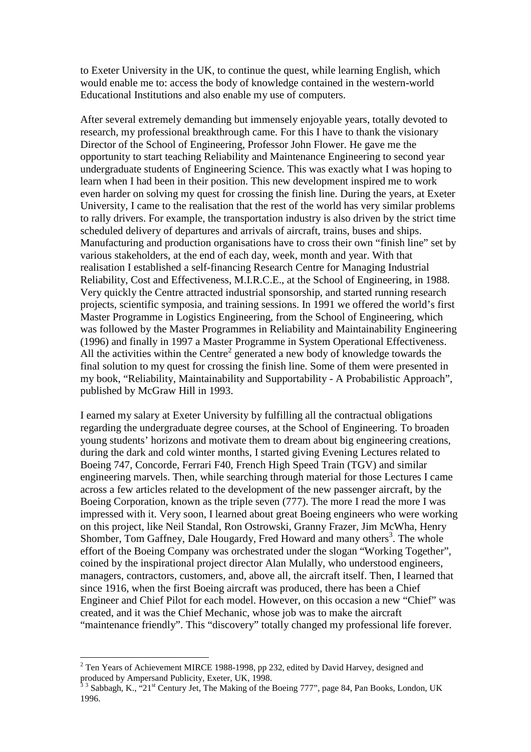to Exeter University in the UK, to continue the quest, while learning English, which would enable me to: access the body of knowledge contained in the western-world Educational Institutions and also enable my use of computers.

After several extremely demanding but immensely enjoyable years, totally devoted to research, my professional breakthrough came. For this I have to thank the visionary Director of the School of Engineering, Professor John Flower. He gave me the opportunity to start teaching Reliability and Maintenance Engineering to second year undergraduate students of Engineering Science. This was exactly what I was hoping to learn when I had been in their position. This new development inspired me to work even harder on solving my quest for crossing the finish line. During the years, at Exeter University, I came to the realisation that the rest of the world has very similar problems to rally drivers. For example, the transportation industry is also driven by the strict time scheduled delivery of departures and arrivals of aircraft, trains, buses and ships. Manufacturing and production organisations have to cross their own "finish line" set by various stakeholders, at the end of each day, week, month and year. With that realisation I established a self-financing Research Centre for Managing Industrial Reliability, Cost and Effectiveness, M.I.R.C.E., at the School of Engineering, in 1988. Very quickly the Centre attracted industrial sponsorship, and started running research projects, scientific symposia, and training sessions. In 1991 we offered the world's first Master Programme in Logistics Engineering, from the School of Engineering, which was followed by the Master Programmes in Reliability and Maintainability Engineering (1996) and finally in 1997 a Master Programme in System Operational Effectiveness. All the activities within the Centre<sup>2</sup> generated a new body of knowledge towards the final solution to my quest for crossing the finish line. Some of them were presented in my book, "Reliability, Maintainability and Supportability - A Probabilistic Approach", published by McGraw Hill in 1993.

I earned my salary at Exeter University by fulfilling all the contractual obligations regarding the undergraduate degree courses, at the School of Engineering. To broaden young students' horizons and motivate them to dream about big engineering creations, during the dark and cold winter months, I started giving Evening Lectures related to Boeing 747, Concorde, Ferrari F40, French High Speed Train (TGV) and similar engineering marvels. Then, while searching through material for those Lectures I came across a few articles related to the development of the new passenger aircraft, by the Boeing Corporation, known as the triple seven (777). The more I read the more I was impressed with it. Very soon, I learned about great Boeing engineers who were working on this project, like Neil Standal, Ron Ostrowski, Granny Frazer, Jim McWha, Henry Shomber, Tom Gaffney, Dale Hougardy, Fred Howard and many others<sup>3</sup>. The whole effort of the Boeing Company was orchestrated under the slogan "Working Together", coined by the inspirational project director Alan Mulally, who understood engineers, managers, contractors, customers, and, above all, the aircraft itself. Then, I learned that since 1916, when the first Boeing aircraft was produced, there has been a Chief Engineer and Chief Pilot for each model. However, on this occasion a new "Chief" was created, and it was the Chief Mechanic, whose job was to make the aircraft "maintenance friendly". This "discovery" totally changed my professional life forever.

<sup>&</sup>lt;sup>2</sup> Ten Years of Achievement MIRCE 1988-1998, pp 232, edited by David Harvey, designed and

produced by Ampersand Publicity, Exeter, UK, 1998.<br><sup>3 3</sup> Sabbagh, K., ''21<sup>st</sup> Century Jet, The Making of the Boeing 777'', page 84, Pan Books, London, UK 1996.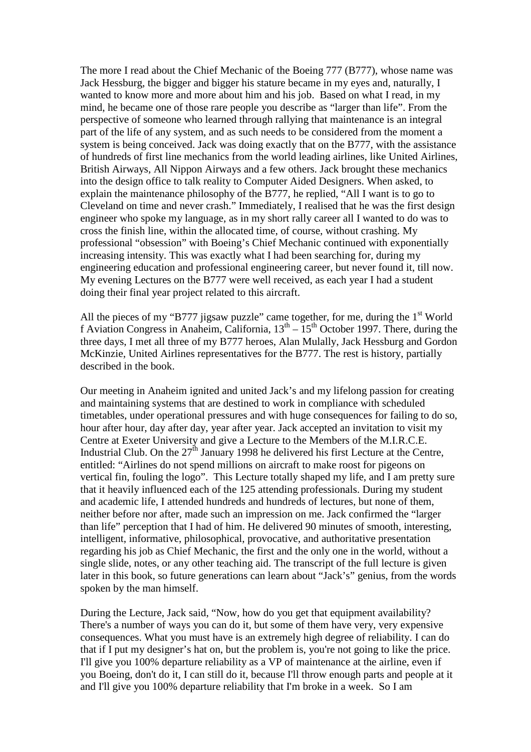The more I read about the Chief Mechanic of the Boeing 777 (B777), whose name was Jack Hessburg, the bigger and bigger his stature became in my eyes and, naturally, I wanted to know more and more about him and his job. Based on what I read, in my mind, he became one of those rare people you describe as "larger than life". From the perspective of someone who learned through rallying that maintenance is an integral part of the life of any system, and as such needs to be considered from the moment a system is being conceived. Jack was doing exactly that on the B777, with the assistance of hundreds of first line mechanics from the world leading airlines, like United Airlines, British Airways, All Nippon Airways and a few others. Jack brought these mechanics into the design office to talk reality to Computer Aided Designers. When asked, to explain the maintenance philosophy of the B777, he replied, "All I want is to go to Cleveland on time and never crash." Immediately, I realised that he was the first design engineer who spoke my language, as in my short rally career all I wanted to do was to cross the finish line, within the allocated time, of course, without crashing. My professional "obsession" with Boeing's Chief Mechanic continued with exponentially increasing intensity. This was exactly what I had been searching for, during my engineering education and professional engineering career, but never found it, till now. My evening Lectures on the B777 were well received, as each year I had a student doing their final year project related to this aircraft.

All the pieces of my "B777 jigsaw puzzle" came together, for me, during the 1<sup>st</sup> World f Aviation Congress in Anaheim, California,  $13^{th} - 15^{th}$  October 1997. There, during the three days, I met all three of my B777 heroes, Alan Mulally, Jack Hessburg and Gordon McKinzie, United Airlines representatives for the B777. The rest is history, partially described in the book.

Our meeting in Anaheim ignited and united Jack's and my lifelong passion for creating and maintaining systems that are destined to work in compliance with scheduled timetables, under operational pressures and with huge consequences for failing to do so, hour after hour, day after day, year after year. Jack accepted an invitation to visit my Centre at Exeter University and give a Lecture to the Members of the M.I.R.C.E. Industrial Club. On the  $27<sup>th</sup>$  January 1998 he delivered his first Lecture at the Centre, entitled: "Airlines do not spend millions on aircraft to make roost for pigeons on vertical fin, fouling the logo". This Lecture totally shaped my life, and I am pretty sure that it heavily influenced each of the 125 attending professionals. During my student and academic life, I attended hundreds and hundreds of lectures, but none of them, neither before nor after, made such an impression on me. Jack confirmed the "larger than life" perception that I had of him. He delivered 90 minutes of smooth, interesting, intelligent, informative, philosophical, provocative, and authoritative presentation regarding his job as Chief Mechanic, the first and the only one in the world, without a single slide, notes, or any other teaching aid. The transcript of the full lecture is given later in this book, so future generations can learn about "Jack's" genius, from the words spoken by the man himself.

During the Lecture, Jack said, "Now, how do you get that equipment availability? There's a number of ways you can do it, but some of them have very, very expensive consequences. What you must have is an extremely high degree of reliability. I can do that if I put my designer's hat on, but the problem is, you're not going to like the price. I'll give you 100% departure reliability as a VP of maintenance at the airline, even if you Boeing, don't do it, I can still do it, because I'll throw enough parts and people at it and I'll give you 100% departure reliability that I'm broke in a week. So I am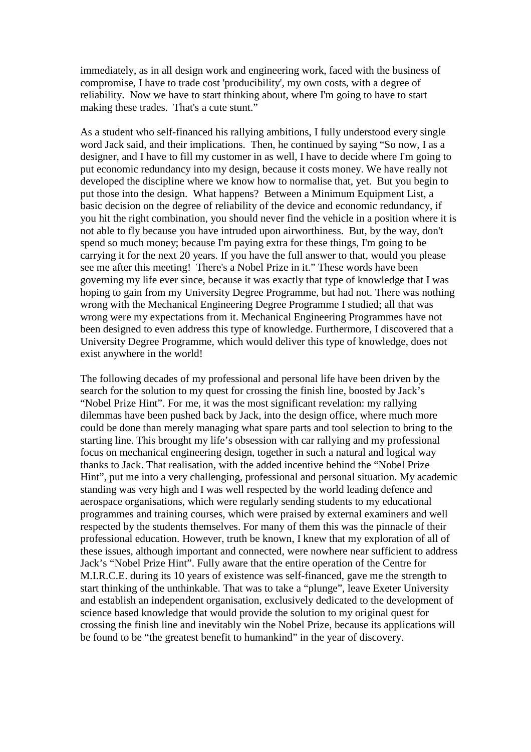immediately, as in all design work and engineering work, faced with the business of compromise, I have to trade cost 'producibility', my own costs, with a degree of reliability. Now we have to start thinking about, where I'm going to have to start making these trades. That's a cute stunt."

As a student who self-financed his rallying ambitions, I fully understood every single word Jack said, and their implications. Then, he continued by saying "So now, I as a designer, and I have to fill my customer in as well, I have to decide where I'm going to put economic redundancy into my design, because it costs money. We have really not developed the discipline where we know how to normalise that, yet. But you begin to put those into the design. What happens? Between a Minimum Equipment List, a basic decision on the degree of reliability of the device and economic redundancy, if you hit the right combination, you should never find the vehicle in a position where it is not able to fly because you have intruded upon airworthiness. But, by the way, don't spend so much money; because I'm paying extra for these things, I'm going to be carrying it for the next 20 years. If you have the full answer to that, would you please see me after this meeting! There's a Nobel Prize in it." These words have been governing my life ever since, because it was exactly that type of knowledge that I was hoping to gain from my University Degree Programme, but had not. There was nothing wrong with the Mechanical Engineering Degree Programme I studied; all that was wrong were my expectations from it. Mechanical Engineering Programmes have not been designed to even address this type of knowledge. Furthermore, I discovered that a University Degree Programme, which would deliver this type of knowledge, does not exist anywhere in the world!

The following decades of my professional and personal life have been driven by the search for the solution to my quest for crossing the finish line, boosted by Jack's "Nobel Prize Hint". For me, it was the most significant revelation: my rallying dilemmas have been pushed back by Jack, into the design office, where much more could be done than merely managing what spare parts and tool selection to bring to the starting line. This brought my life's obsession with car rallying and my professional focus on mechanical engineering design, together in such a natural and logical way thanks to Jack. That realisation, with the added incentive behind the "Nobel Prize Hint", put me into a very challenging, professional and personal situation. My academic standing was very high and I was well respected by the world leading defence and aerospace organisations, which were regularly sending students to my educational programmes and training courses, which were praised by external examiners and well respected by the students themselves. For many of them this was the pinnacle of their professional education. However, truth be known, I knew that my exploration of all of these issues, although important and connected, were nowhere near sufficient to address Jack's "Nobel Prize Hint". Fully aware that the entire operation of the Centre for M.I.R.C.E. during its 10 years of existence was self-financed, gave me the strength to start thinking of the unthinkable. That was to take a "plunge", leave Exeter University and establish an independent organisation, exclusively dedicated to the development of science based knowledge that would provide the solution to my original quest for crossing the finish line and inevitably win the Nobel Prize, because its applications will be found to be "the greatest benefit to humankind" in the year of discovery.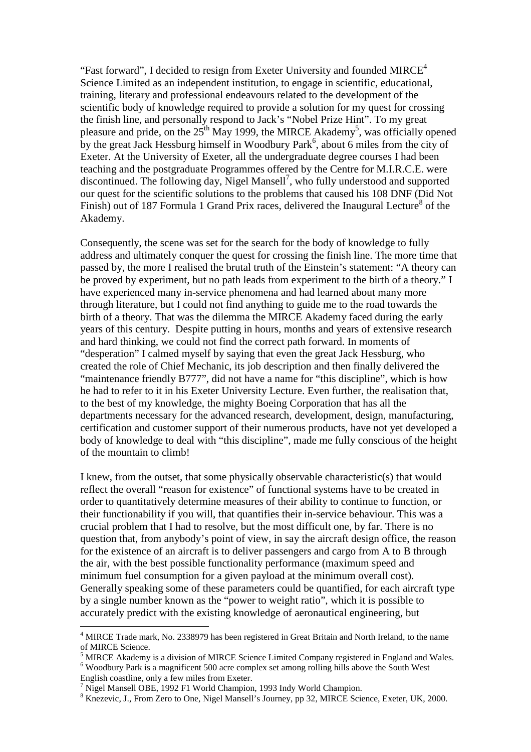"Fast forward", I decided to resign from Exeter University and founded MIRCE<sup>4</sup> Science Limited as an independent institution, to engage in scientific, educational, training, literary and professional endeavours related to the development of the scientific body of knowledge required to provide a solution for my quest for crossing the finish line, and personally respond to Jack's "Nobel Prize Hint". To my great pleasure and pride, on the  $25<sup>th</sup>$  May 1999, the MIRCE Akademy<sup>5</sup>, was officially opened by the great Jack Hessburg himself in Woodbury Park<sup>6</sup>, about 6 miles from the city of Exeter. At the University of Exeter, all the undergraduate degree courses I had been teaching and the postgraduate Programmes offered by the Centre for M.I.R.C.E. were discontinued. The following day, Nigel Mansell<sup>7</sup>, who fully understood and supported our quest for the scientific solutions to the problems that caused his 108 DNF (Did Not Finish) out of 187 Formula 1 Grand Prix races, delivered the Inaugural Lecture<sup>8</sup> of the Akademy.

Consequently, the scene was set for the search for the body of knowledge to fully address and ultimately conquer the quest for crossing the finish line. The more time that passed by, the more I realised the brutal truth of the Einstein's statement: "A theory can be proved by experiment, but no path leads from experiment to the birth of a theory." I have experienced many in-service phenomena and had learned about many more through literature, but I could not find anything to guide me to the road towards the birth of a theory. That was the dilemma the MIRCE Akademy faced during the early years of this century. Despite putting in hours, months and years of extensive research and hard thinking, we could not find the correct path forward. In moments of "desperation" I calmed myself by saying that even the great Jack Hessburg, who created the role of Chief Mechanic, its job description and then finally delivered the "maintenance friendly B777", did not have a name for "this discipline", which is how he had to refer to it in his Exeter University Lecture. Even further, the realisation that, to the best of my knowledge, the mighty Boeing Corporation that has all the departments necessary for the advanced research, development, design, manufacturing, certification and customer support of their numerous products, have not yet developed a body of knowledge to deal with "this discipline", made me fully conscious of the height of the mountain to climb!

I knew, from the outset, that some physically observable characteristic(s) that would reflect the overall "reason for existence" of functional systems have to be created in order to quantitatively determine measures of their ability to continue to function, or their functionability if you will, that quantifies their in-service behaviour. This was a crucial problem that I had to resolve, but the most difficult one, by far. There is no question that, from anybody's point of view, in say the aircraft design office, the reason for the existence of an aircraft is to deliver passengers and cargo from A to B through the air, with the best possible functionality performance (maximum speed and minimum fuel consumption for a given payload at the minimum overall cost). Generally speaking some of these parameters could be quantified, for each aircraft type by a single number known as the "power to weight ratio", which it is possible to accurately predict with the existing knowledge of aeronautical engineering, but

<sup>&</sup>lt;sup>4</sup> MIRCE Trade mark, No. 2338979 has been registered in Great Britain and North Ireland, to the name of MIRCE Science.

<sup>&</sup>lt;sup>5</sup> MIRCE Akademy is a division of MIRCE Science Limited Company registered in England and Wales.

<sup>&</sup>lt;sup>6</sup> Woodbury Park is a magnificent 500 acre complex set among rolling hills above the South West English coastline, only a few miles from Exeter.

<sup>&</sup>lt;sup>7</sup> Nigel Mansell OBE, 1992 F1 World Champion, 1993 Indy World Champion.

<sup>&</sup>lt;sup>8</sup> Knezevic, J., From Zero to One, Nigel Mansell's Journey, pp 32, MIRCE Science, Exeter, UK, 2000.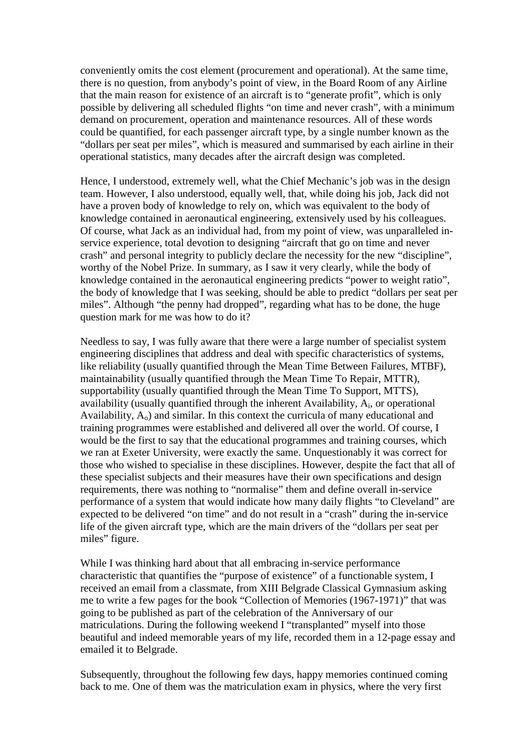conveniently omits the cost element (procurement and operational). At the same time, there is no question, from anybody's point of view, in the Board Room of any Airline that the main reason for existence of an aircraft is to "generate profit", which is only possible by delivering all scheduled flights "on time and never crash", with a minimum demand on procurement, operation and maintenance resources. All of these words could be quantified, for each passenger aircraft type, by a single number known as the "dollars per seat per miles", which is measured and summarised by each airline in their operational statistics, many decades after the aircraft design was completed.

Hence, I understood, extremely well, what the Chief Mechanic's job was in the design team. However, I also understood, equally well, that, while doing his job, Jack did not have a proven body of knowledge to rely on, which was equivalent to the body of knowledge contained in aeronautical engineering, extensively used by his colleagues. Of course, what Jack as an individual had, from my point of view, was unparalleled inservice experience, total devotion to designing "aircraft that go on time and never crash" and personal integrity to publicly declare the necessity for the new "discipline", worthy of the Nobel Prize. In summary, as I saw it very clearly, while the body of knowledge contained in the aeronautical engineering predicts "power to weight ratio", the body of knowledge that I was seeking, should be able to predict "dollars per seat per miles". Although "the penny had dropped", regarding what has to be done, the huge question mark for me was how to do it?

Needless to say, I was fully aware that there were a large number of specialist system engineering disciplines that address and deal with specific characteristics of systems, like reliability (usually quantified through the Mean Time Between Failures, MTBF), maintainability (usually quantified through the Mean Time To Repair, MTTR), supportability (usually quantified through the Mean Time To Support, MTTS), availability (usually quantified through the inherent Availability,  $A_i$ , or operational Availability, Ao) and similar. In this context the curricula of many educational and training programmes were established and delivered all over the world. Of course, I would be the first to say that the educational programmes and training courses, which we ran at Exeter University, were exactly the same. Unquestionably it was correct for those who wished to specialise in these disciplines. However, despite the fact that all of these specialist subjects and their measures have their own specifications and design requirements, there was nothing to "normalise" them and define overall in-service performance of a system that would indicate how many daily flights "to Cleveland" are expected to be delivered "on time" and do not result in a "crash" during the in-service life of the given aircraft type, which are the main drivers of the "dollars per seat per miles" figure.

While I was thinking hard about that all embracing in-service performance characteristic that quantifies the "purpose of existence" of a functionable system, I received an email from a classmate, from XIII Belgrade Classical Gymnasium asking me to write a few pages for the book "Collection of Memories (1967-1971)" that was going to be published as part of the celebration of the Anniversary of our matriculations. During the following weekend I "transplanted" myself into those beautiful and indeed memorable years of my life, recorded them in a 12-page essay and emailed it to Belgrade.

Subsequently, throughout the following few days, happy memories continued coming back to me. One of them was the matriculation exam in physics, where the very first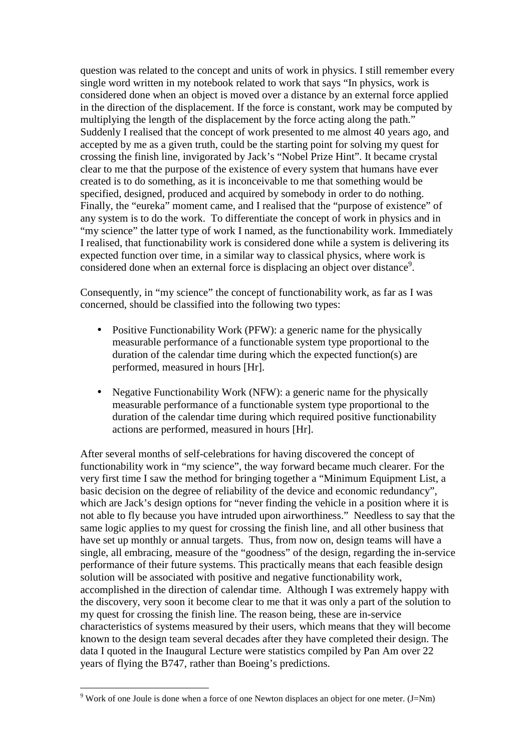question was related to the concept and units of work in physics. I still remember every single word written in my notebook related to work that says "In physics, work is considered done when an object is moved over a distance by an external force applied in the direction of the displacement. If the force is constant, work may be computed by multiplying the length of the displacement by the force acting along the path." Suddenly I realised that the concept of work presented to me almost 40 years ago, and accepted by me as a given truth, could be the starting point for solving my quest for crossing the finish line, invigorated by Jack's "Nobel Prize Hint". It became crystal clear to me that the purpose of the existence of every system that humans have ever created is to do something, as it is inconceivable to me that something would be specified, designed, produced and acquired by somebody in order to do nothing. Finally, the "eureka" moment came, and I realised that the "purpose of existence" of any system is to do the work. To differentiate the concept of work in physics and in "my science" the latter type of work I named, as the functionability work. Immediately I realised, that functionability work is considered done while a system is delivering its expected function over time, in a similar way to classical physics, where work is considered done when an external force is displacing an object over distance<sup>9</sup>.

Consequently, in "my science" the concept of functionability work, as far as I was concerned, should be classified into the following two types:

- Positive Functionability Work (PFW): a generic name for the physically measurable performance of a functionable system type proportional to the duration of the calendar time during which the expected function(s) are performed, measured in hours [Hr].
- Negative Functionability Work (NFW): a generic name for the physically measurable performance of a functionable system type proportional to the duration of the calendar time during which required positive functionability actions are performed, measured in hours [Hr].

After several months of self-celebrations for having discovered the concept of functionability work in "my science", the way forward became much clearer. For the very first time I saw the method for bringing together a "Minimum Equipment List, a basic decision on the degree of reliability of the device and economic redundancy", which are Jack's design options for "never finding the vehicle in a position where it is not able to fly because you have intruded upon airworthiness." Needless to say that the same logic applies to my quest for crossing the finish line, and all other business that have set up monthly or annual targets. Thus, from now on, design teams will have a single, all embracing, measure of the "goodness" of the design, regarding the in-service performance of their future systems. This practically means that each feasible design solution will be associated with positive and negative functionability work, accomplished in the direction of calendar time. Although I was extremely happy with the discovery, very soon it become clear to me that it was only a part of the solution to my quest for crossing the finish line. The reason being, these are in-service characteristics of systems measured by their users, which means that they will become known to the design team several decades after they have completed their design. The data I quoted in the Inaugural Lecture were statistics compiled by Pan Am over 22 years of flying the B747, rather than Boeing's predictions.

<sup>&</sup>lt;sup>9</sup> Work of one Joule is done when a force of one Newton displaces an object for one meter.  $(J=Nm)$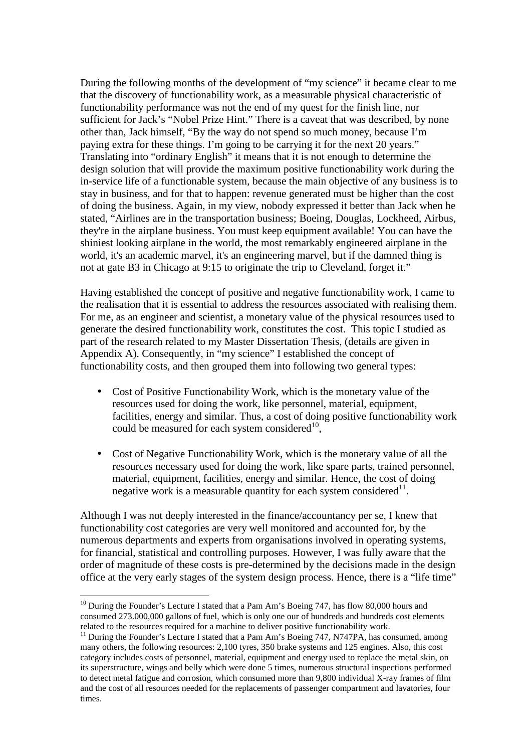During the following months of the development of "my science" it became clear to me that the discovery of functionability work, as a measurable physical characteristic of functionability performance was not the end of my quest for the finish line, nor sufficient for Jack's "Nobel Prize Hint." There is a caveat that was described, by none other than, Jack himself, "By the way do not spend so much money, because I'm paying extra for these things. I'm going to be carrying it for the next 20 years." Translating into "ordinary English" it means that it is not enough to determine the design solution that will provide the maximum positive functionability work during the in-service life of a functionable system, because the main objective of any business is to stay in business, and for that to happen: revenue generated must be higher than the cost of doing the business. Again, in my view, nobody expressed it better than Jack when he stated, "Airlines are in the transportation business; Boeing, Douglas, Lockheed, Airbus, they're in the airplane business. You must keep equipment available! You can have the shiniest looking airplane in the world, the most remarkably engineered airplane in the world, it's an academic marvel, it's an engineering marvel, but if the damned thing is not at gate B3 in Chicago at 9:15 to originate the trip to Cleveland, forget it."

Having established the concept of positive and negative functionability work, I came to the realisation that it is essential to address the resources associated with realising them. For me, as an engineer and scientist, a monetary value of the physical resources used to generate the desired functionability work, constitutes the cost. This topic I studied as part of the research related to my Master Dissertation Thesis, (details are given in Appendix A). Consequently, in "my science" I established the concept of functionability costs, and then grouped them into following two general types:

- Cost of Positive Functionability Work, which is the monetary value of the resources used for doing the work, like personnel, material, equipment, facilities, energy and similar. Thus, a cost of doing positive functionability work could be measured for each system considered $^{10}$ ,
- Cost of Negative Functionability Work, which is the monetary value of all the resources necessary used for doing the work, like spare parts, trained personnel, material, equipment, facilities, energy and similar. Hence, the cost of doing negative work is a measurable quantity for each system considered $11$ .

Although I was not deeply interested in the finance/accountancy per se, I knew that functionability cost categories are very well monitored and accounted for, by the numerous departments and experts from organisations involved in operating systems, for financial, statistical and controlling purposes. However, I was fully aware that the order of magnitude of these costs is pre-determined by the decisions made in the design office at the very early stages of the system design process. Hence, there is a "life time"

 $10$  During the Founder's Lecture I stated that a Pam Am's Boeing 747, has flow 80,000 hours and consumed 273.000,000 gallons of fuel, which is only one our of hundreds and hundreds cost elements related to the resources required for a machine to deliver positive functionability work.

<sup>&</sup>lt;sup>11</sup> During the Founder's Lecture I stated that a Pam Am's Boeing 747, N747PA, has consumed, among many others, the following resources: 2,100 tyres, 350 brake systems and 125 engines. Also, this cost category includes costs of personnel, material, equipment and energy used to replace the metal skin, on its superstructure, wings and belly which were done 5 times, numerous structural inspections performed to detect metal fatigue and corrosion, which consumed more than 9,800 individual X-ray frames of film and the cost of all resources needed for the replacements of passenger compartment and lavatories, four times.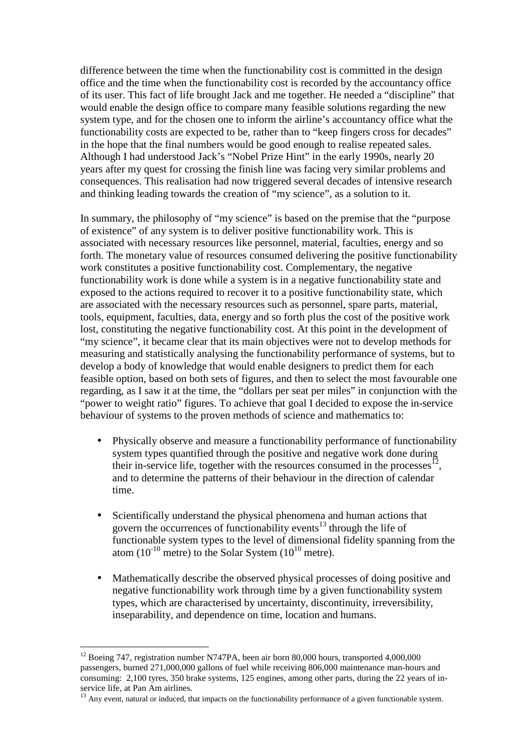difference between the time when the functionability cost is committed in the design office and the time when the functionability cost is recorded by the accountancy office of its user. This fact of life brought Jack and me together. He needed a "discipline" that would enable the design office to compare many feasible solutions regarding the new system type, and for the chosen one to inform the airline's accountancy office what the functionability costs are expected to be, rather than to "keep fingers cross for decades" in the hope that the final numbers would be good enough to realise repeated sales. Although I had understood Jack's "Nobel Prize Hint" in the early 1990s, nearly 20 years after my quest for crossing the finish line was facing very similar problems and consequences. This realisation had now triggered several decades of intensive research and thinking leading towards the creation of "my science", as a solution to it.

In summary, the philosophy of "my science" is based on the premise that the "purpose of existence" of any system is to deliver positive functionability work. This is associated with necessary resources like personnel, material, faculties, energy and so forth. The monetary value of resources consumed delivering the positive functionability work constitutes a positive functionability cost. Complementary, the negative functionability work is done while a system is in a negative functionability state and exposed to the actions required to recover it to a positive functionability state, which are associated with the necessary resources such as personnel, spare parts, material, tools, equipment, faculties, data, energy and so forth plus the cost of the positive work lost, constituting the negative functionability cost. At this point in the development of "my science", it became clear that its main objectives were not to develop methods for measuring and statistically analysing the functionability performance of systems, but to develop a body of knowledge that would enable designers to predict them for each feasible option, based on both sets of figures, and then to select the most favourable one regarding, as I saw it at the time, the "dollars per seat per miles" in conjunction with the "power to weight ratio" figures. To achieve that goal I decided to expose the in-service behaviour of systems to the proven methods of science and mathematics to:

- Physically observe and measure a functionability performance of functionability system types quantified through the positive and negative work done during their in-service life, together with the resources consumed in the processes $^{12}$ , and to determine the patterns of their behaviour in the direction of calendar time.
- Scientifically understand the physical phenomena and human actions that govern the occurrences of functionability events<sup>13</sup> through the life of functionable system types to the level of dimensional fidelity spanning from the atom  $(10^{-10} \text{ metre})$  to the Solar System  $(10^{10} \text{ metre})$ .
- Mathematically describe the observed physical processes of doing positive and negative functionability work through time by a given functionability system types, which are characterised by uncertainty, discontinuity, irreversibility, inseparability, and dependence on time, location and humans.

 $12$  Boeing 747, registration number N747PA, been air born 80,000 hours, transported 4,000,000 passengers, burned 271,000,000 gallons of fuel while receiving 806,000 maintenance man-hours and consuming: 2,100 tyres, 350 brake systems, 125 engines, among other parts, during the 22 years of inservice life, at Pan Am airlines.

<sup>&</sup>lt;sup>13</sup> Any event, natural or induced, that impacts on the functionability performance of a given functionable system.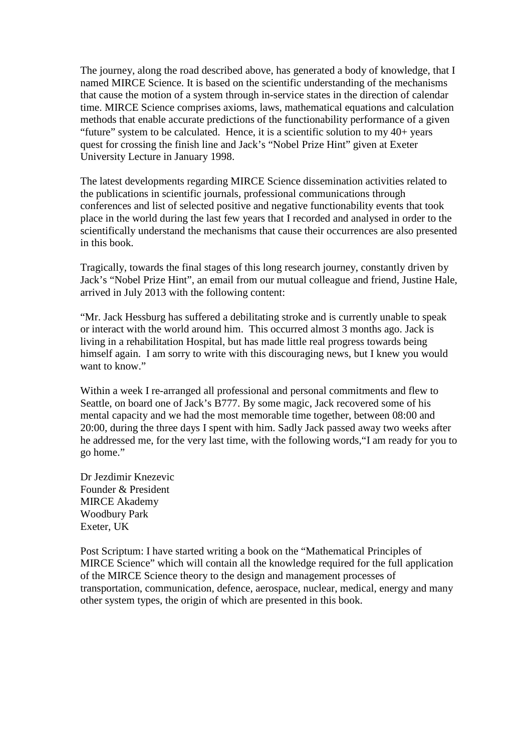The journey, along the road described above, has generated a body of knowledge, that I named MIRCE Science. It is based on the scientific understanding of the mechanisms that cause the motion of a system through in-service states in the direction of calendar time. MIRCE Science comprises axioms, laws, mathematical equations and calculation methods that enable accurate predictions of the functionability performance of a given "future" system to be calculated. Hence, it is a scientific solution to my 40+ years quest for crossing the finish line and Jack's "Nobel Prize Hint" given at Exeter University Lecture in January 1998.

The latest developments regarding MIRCE Science dissemination activities related to the publications in scientific journals, professional communications through conferences and list of selected positive and negative functionability events that took place in the world during the last few years that I recorded and analysed in order to the scientifically understand the mechanisms that cause their occurrences are also presented in this book.

Tragically, towards the final stages of this long research journey, constantly driven by Jack's "Nobel Prize Hint", an email from our mutual colleague and friend, Justine Hale, arrived in July 2013 with the following content:

"Mr. Jack Hessburg has suffered a debilitating stroke and is currently unable to speak or interact with the world around him. This occurred almost 3 months ago. Jack is living in a rehabilitation Hospital, but has made little real progress towards being himself again. I am sorry to write with this discouraging news, but I knew you would want to know."

Within a week I re-arranged all professional and personal commitments and flew to Seattle, on board one of Jack's B777. By some magic, Jack recovered some of his mental capacity and we had the most memorable time together, between 08:00 and 20:00, during the three days I spent with him. Sadly Jack passed away two weeks after he addressed me, for the very last time, with the following words,"I am ready for you to go home."

Dr Jezdimir Knezevic Founder & President MIRCE Akademy Woodbury Park Exeter, UK

Post Scriptum: I have started writing a book on the "Mathematical Principles of MIRCE Science" which will contain all the knowledge required for the full application of the MIRCE Science theory to the design and management processes of transportation, communication, defence, aerospace, nuclear, medical, energy and many other system types, the origin of which are presented in this book.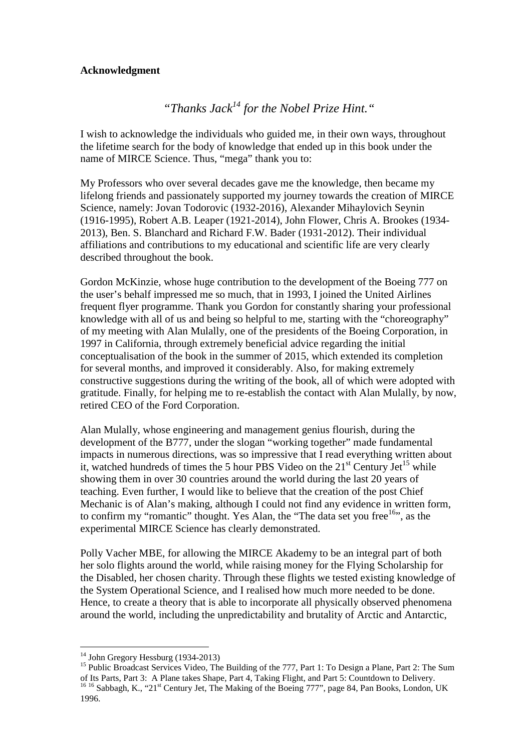## **Acknowledgment**

## *"Thanks Jack<sup>14</sup> for the Nobel Prize Hint."*

I wish to acknowledge the individuals who guided me, in their own ways, throughout the lifetime search for the body of knowledge that ended up in this book under the name of MIRCE Science. Thus, "mega" thank you to:

My Professors who over several decades gave me the knowledge, then became my lifelong friends and passionately supported my journey towards the creation of MIRCE Science, namely: Jovan Todorovic (1932-2016), Alexander Mihaylovich Seynin (1916-1995), Robert A.B. Leaper (1921-2014), John Flower, Chris A. Brookes (1934- 2013), Ben. S. Blanchard and Richard F.W. Bader (1931-2012). Their individual affiliations and contributions to my educational and scientific life are very clearly described throughout the book.

Gordon McKinzie, whose huge contribution to the development of the Boeing 777 on the user's behalf impressed me so much, that in 1993, I joined the United Airlines frequent flyer programme. Thank you Gordon for constantly sharing your professional knowledge with all of us and being so helpful to me, starting with the "choreography" of my meeting with Alan Mulally, one of the presidents of the Boeing Corporation, in 1997 in California, through extremely beneficial advice regarding the initial conceptualisation of the book in the summer of 2015, which extended its completion for several months, and improved it considerably. Also, for making extremely constructive suggestions during the writing of the book, all of which were adopted with gratitude. Finally, for helping me to re-establish the contact with Alan Mulally, by now, retired CEO of the Ford Corporation.

Alan Mulally, whose engineering and management genius flourish, during the development of the B777, under the slogan "working together" made fundamental impacts in numerous directions, was so impressive that I read everything written about it, watched hundreds of times the 5 hour PBS Video on the  $21<sup>st</sup>$  Century Jet<sup>15</sup> while showing them in over 30 countries around the world during the last 20 years of teaching. Even further, I would like to believe that the creation of the post Chief Mechanic is of Alan's making, although I could not find any evidence in written form, to confirm my "romantic" thought. Yes Alan, the "The data set you free  $16$ ", as the experimental MIRCE Science has clearly demonstrated.

Polly Vacher MBE, for allowing the MIRCE Akademy to be an integral part of both her solo flights around the world, while raising money for the Flying Scholarship for the Disabled, her chosen charity. Through these flights we tested existing knowledge of the System Operational Science, and I realised how much more needed to be done. Hence, to create a theory that is able to incorporate all physically observed phenomena around the world, including the unpredictability and brutality of Arctic and Antarctic,

<sup>&</sup>lt;sup>14</sup> John Gregory Hessburg (1934-2013)

<sup>&</sup>lt;sup>15</sup> Public Broadcast Services Video, The Building of the 777, Part 1: To Design a Plane, Part 2: The Sum of Its Parts, Part 3: A Plane takes Shape, Part 4, Taking Flight, and Part 5: Countdown to Delivery. <sup>16 16</sup> Sabbagh, K., "21<sup>st</sup> Century Jet, The Making of the Boeing 777", page 84, Pan Books, London, UK 1996.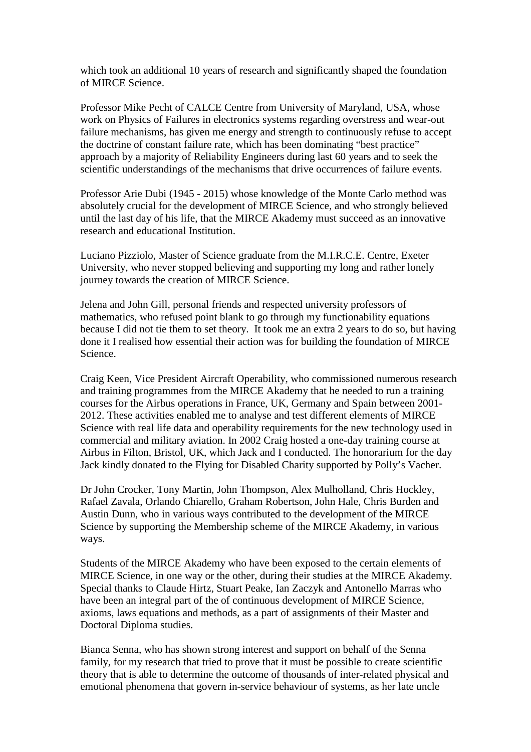which took an additional 10 years of research and significantly shaped the foundation of MIRCE Science.

Professor Mike Pecht of CALCE Centre from University of Maryland, USA, whose work on Physics of Failures in electronics systems regarding overstress and wear-out failure mechanisms, has given me energy and strength to continuously refuse to accept the doctrine of constant failure rate, which has been dominating "best practice" approach by a majority of Reliability Engineers during last 60 years and to seek the scientific understandings of the mechanisms that drive occurrences of failure events.

Professor Arie Dubi (1945 - 2015) whose knowledge of the Monte Carlo method was absolutely crucial for the development of MIRCE Science, and who strongly believed until the last day of his life, that the MIRCE Akademy must succeed as an innovative research and educational Institution.

Luciano Pizziolo, Master of Science graduate from the M.I.R.C.E. Centre, Exeter University, who never stopped believing and supporting my long and rather lonely journey towards the creation of MIRCE Science.

Jelena and John Gill, personal friends and respected university professors of mathematics, who refused point blank to go through my functionability equations because I did not tie them to set theory. It took me an extra 2 years to do so, but having done it I realised how essential their action was for building the foundation of MIRCE Science.

Craig Keen, Vice President Aircraft Operability, who commissioned numerous research and training programmes from the MIRCE Akademy that he needed to run a training courses for the Airbus operations in France, UK, Germany and Spain between 2001- 2012. These activities enabled me to analyse and test different elements of MIRCE Science with real life data and operability requirements for the new technology used in commercial and military aviation. In 2002 Craig hosted a one-day training course at Airbus in Filton, Bristol, UK, which Jack and I conducted. The honorarium for the day Jack kindly donated to the Flying for Disabled Charity supported by Polly's Vacher.

Dr John Crocker, Tony Martin, John Thompson, Alex Mulholland, Chris Hockley, Rafael Zavala, Orlando Chiarello, Graham Robertson, John Hale, Chris Burden and Austin Dunn, who in various ways contributed to the development of the MIRCE Science by supporting the Membership scheme of the MIRCE Akademy, in various ways.

Students of the MIRCE Akademy who have been exposed to the certain elements of MIRCE Science, in one way or the other, during their studies at the MIRCE Akademy. Special thanks to Claude Hirtz, Stuart Peake, Ian Zaczyk and Antonello Marras who have been an integral part of the of continuous development of MIRCE Science, axioms, laws equations and methods, as a part of assignments of their Master and Doctoral Diploma studies.

Bianca Senna, who has shown strong interest and support on behalf of the Senna family, for my research that tried to prove that it must be possible to create scientific theory that is able to determine the outcome of thousands of inter-related physical and emotional phenomena that govern in-service behaviour of systems, as her late uncle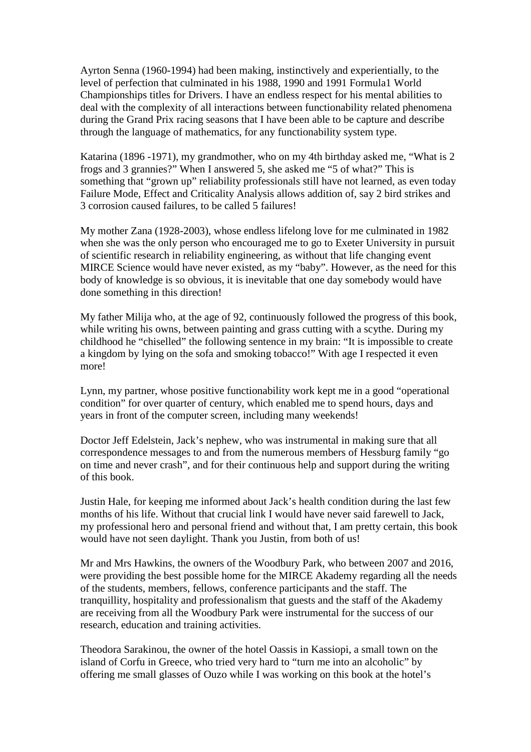Ayrton Senna (1960-1994) had been making, instinctively and experientially, to the level of perfection that culminated in his 1988, 1990 and 1991 Formula1 World Championships titles for Drivers. I have an endless respect for his mental abilities to deal with the complexity of all interactions between functionability related phenomena during the Grand Prix racing seasons that I have been able to be capture and describe through the language of mathematics, for any functionability system type.

Katarina (1896 -1971), my grandmother, who on my 4th birthday asked me, "What is 2 frogs and 3 grannies?" When I answered 5, she asked me "5 of what?" This is something that "grown up" reliability professionals still have not learned, as even today Failure Mode, Effect and Criticality Analysis allows addition of, say 2 bird strikes and 3 corrosion caused failures, to be called 5 failures!

My mother Zana (1928-2003), whose endless lifelong love for me culminated in 1982 when she was the only person who encouraged me to go to Exeter University in pursuit of scientific research in reliability engineering, as without that life changing event MIRCE Science would have never existed, as my "baby". However, as the need for this body of knowledge is so obvious, it is inevitable that one day somebody would have done something in this direction!

My father Milija who, at the age of 92, continuously followed the progress of this book, while writing his owns, between painting and grass cutting with a scythe. During my childhood he "chiselled" the following sentence in my brain: "It is impossible to create a kingdom by lying on the sofa and smoking tobacco!" With age I respected it even more!

Lynn, my partner, whose positive functionability work kept me in a good "operational condition" for over quarter of century, which enabled me to spend hours, days and years in front of the computer screen, including many weekends!

Doctor Jeff Edelstein, Jack's nephew, who was instrumental in making sure that all correspondence messages to and from the numerous members of Hessburg family "go on time and never crash", and for their continuous help and support during the writing of this book.

Justin Hale, for keeping me informed about Jack's health condition during the last few months of his life. Without that crucial link I would have never said farewell to Jack, my professional hero and personal friend and without that, I am pretty certain, this book would have not seen daylight. Thank you Justin, from both of us!

Mr and Mrs Hawkins, the owners of the Woodbury Park, who between 2007 and 2016, were providing the best possible home for the MIRCE Akademy regarding all the needs of the students, members, fellows, conference participants and the staff. The tranquillity, hospitality and professionalism that guests and the staff of the Akademy are receiving from all the Woodbury Park were instrumental for the success of our research, education and training activities.

Theodora Sarakinou, the owner of the hotel Oassis in Kassiopi, a small town on the island of Corfu in Greece, who tried very hard to "turn me into an alcoholic" by offering me small glasses of Ouzo while I was working on this book at the hotel's